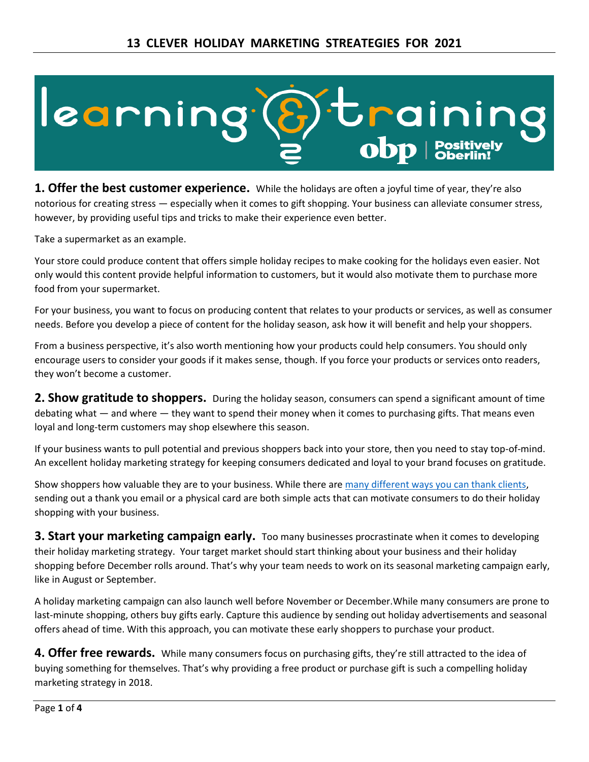

**1. Offer the best customer experience.** While the holidays are often a joyful time of year, they're also notorious for creating stress — especially when it comes to gift shopping. Your business can alleviate consumer stress, however, by providing useful tips and tricks to make their experience even better.

Take a supermarket as an example.

Your store could produce content that offers simple holiday recipes to make cooking for the holidays even easier. Not only would this content provide helpful information to customers, but it would also motivate them to purchase more food from your supermarket.

For your business, you want to focus on producing content that relates to your products or services, as well as consumer needs. Before you develop a piece of content for the holiday season, ask how it will benefit and help your shoppers.

From a business perspective, it's also worth mentioning how your products could help consumers. You should only encourage users to consider your goods if it makes sense, though. If you force your products or services onto readers, they won't become a customer.

**2. Show gratitude to shoppers.** During the holiday season, consumers can spend a significant amount of time debating what — and where — they want to spend their money when it comes to purchasing gifts. That means even loyal and long-term customers may shop elsewhere this season.

If your business wants to pull potential and previous shoppers back into your store, then you need to stay top-of-mind. An excellent holiday marketing strategy for keeping consumers dedicated and loyal to your brand focuses on gratitude.

Show shoppers how valuable they are to your business. While there are [many different ways you can thank clients,](https://www.webfx.com/blog/conversion-rate-optimization/thank-you-page-optimization-best-practices/) sending out a thank you email or a physical card are both simple acts that can motivate consumers to do their holiday shopping with your business.

**3. Start your marketing campaign early.** Too many businesses procrastinate when it comes to developing their holiday marketing strategy. Your target market should start thinking about your business and their holiday shopping before December rolls around. That's why your team needs to work on its seasonal marketing campaign early, like in August or September.

A holiday marketing campaign can also launch well before November or December.While many consumers are prone to last-minute shopping, others buy gifts early. Capture this audience by sending out holiday advertisements and seasonal offers ahead of time. With this approach, you can motivate these early shoppers to purchase your product.

**4. Offer free rewards.** While many consumers focus on purchasing gifts, they're still attracted to the idea of buying something for themselves. That's why providing a free product or purchase gift is such a compelling holiday marketing strategy in 2018.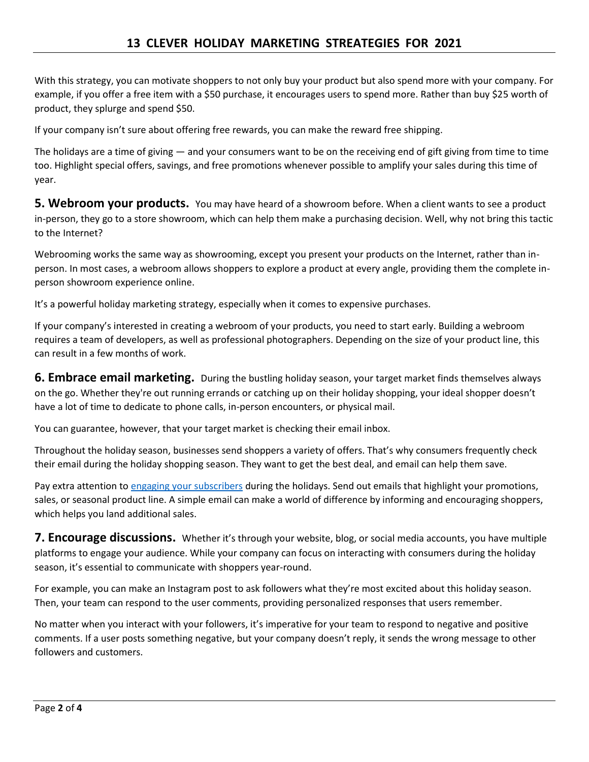With this strategy, you can motivate shoppers to not only buy your product but also spend more with your company. For example, if you offer a free item with a \$50 purchase, it encourages users to spend more. Rather than buy \$25 worth of product, they splurge and spend \$50.

If your company isn't sure about offering free rewards, you can make the reward free shipping.

The holidays are a time of giving  $-$  and your consumers want to be on the receiving end of gift giving from time to time too. Highlight special offers, savings, and free promotions whenever possible to amplify your sales during this time of year.

**5. Webroom your products.** You may have heard of a showroom before. When a client wants to see a product in-person, they go to a store showroom, which can help them make a purchasing decision. Well, why not bring this tactic to the Internet?

Webrooming works the same way as showrooming, except you present your products on the Internet, rather than inperson. In most cases, a webroom allows shoppers to explore a product at every angle, providing them the complete inperson showroom experience online.

It's a powerful holiday marketing strategy, especially when it comes to expensive purchases.

If your company's interested in creating a webroom of your products, you need to start early. Building a webroom requires a team of developers, as well as professional photographers. Depending on the size of your product line, this can result in a few months of work.

**6. Embrace email marketing.** During the bustling holiday season, your target market finds themselves always on the go. Whether they're out running errands or catching up on their holiday shopping, your ideal shopper doesn't have a lot of time to dedicate to phone calls, in-person encounters, or physical mail.

You can guarantee, however, that your target market is checking their email inbox.

Throughout the holiday season, businesses send shoppers a variety of offers. That's why consumers frequently check their email during the holiday shopping season. They want to get the best deal, and email can help them save.

Pay extra attention to [engaging your subscribers](https://www.webfx.com/internet-marketing/types-of-email-marketing.html) during the holidays. Send out emails that highlight your promotions, sales, or seasonal product line. A simple email can make a world of difference by informing and encouraging shoppers, which helps you land additional sales.

**7. Encourage discussions.** Whether it's through your website, blog, or social media accounts, you have multiple platforms to engage your audience. While your company can focus on interacting with consumers during the holiday season, it's essential to communicate with shoppers year-round.

For example, you can make an Instagram post to ask followers what they're most excited about this holiday season. Then, your team can respond to the user comments, providing personalized responses that users remember.

No matter when you interact with your followers, it's imperative for your team to respond to negative and positive comments. If a user posts something negative, but your company doesn't reply, it sends the wrong message to other followers and customers.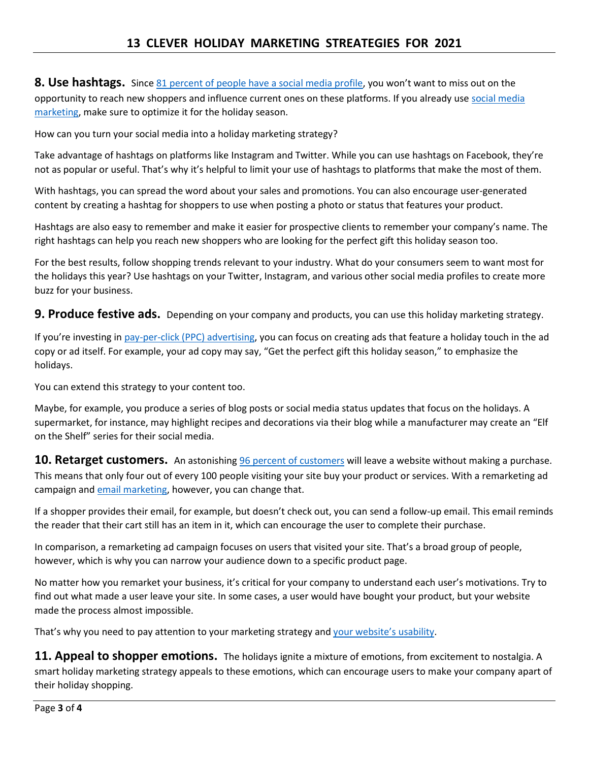**8. Use hashtags.** Since [81 percent of people have a social media profile](https://www.webfx.com/blog/social-media/5-tips-using-hashtags-social-media/), you won't want to miss out on the opportunity to reach new shoppers and influence current ones on these platforms. If you already use [social media](https://www.webfx.com/Social-Media-Services.html)  [marketing,](https://www.webfx.com/Social-Media-Services.html) make sure to optimize it for the holiday season.

How can you turn your social media into a holiday marketing strategy?

Take advantage of hashtags on platforms like Instagram and Twitter. While you can use hashtags on Facebook, they're not as popular or useful. That's why it's helpful to limit your use of hashtags to platforms that make the most of them.

With hashtags, you can spread the word about your sales and promotions. You can also encourage user-generated content by creating a hashtag for shoppers to use when posting a photo or status that features your product.

Hashtags are also easy to remember and make it easier for prospective clients to remember your company's name. The right hashtags can help you reach new shoppers who are looking for the perfect gift this holiday season too.

For the best results, follow shopping trends relevant to your industry. What do your consumers seem to want most for the holidays this year? Use hashtags on your Twitter, Instagram, and various other social media profiles to create more buzz for your business.

**9. Produce festive ads.** Depending on your company and products, you can use this holiday marketing strategy.

If you're investing in [pay-per-click \(PPC\) advertising,](https://www.webfx.com/ppc-management-services.html) you can focus on creating ads that feature a holiday touch in the ad copy or ad itself. For example, your ad copy may say, "Get the perfect gift this holiday season," to emphasize the holidays.

You can extend this strategy to your content too.

Maybe, for example, you produce a series of blog posts or social media status updates that focus on the holidays. A supermarket, for instance, may highlight recipes and decorations via their blog while a manufacturer may create an "Elf on the Shelf" series for their social media.

**10. Retarget customers.** An astonishing [96 percent of customers](https://www.webfx.com/ecommerce-retargeting.html) will leave a website without making a purchase. This means that only four out of every 100 people visiting your site buy your product or services. With a remarketing ad campaign and [email marketing,](https://www.webfx.com/Email-Marketing-Management-Services.html) however, you can change that.

If a shopper provides their email, for example, but doesn't check out, you can send a follow-up email. This email reminds the reader that their cart still has an item in it, which can encourage the user to complete their purchase.

In comparison, a remarketing ad campaign focuses on users that visited your site. That's a broad group of people, however, which is why you can narrow your audience down to a specific product page.

No matter how you remarket your business, it's critical for your company to understand each user's motivations. Try to find out what made a user leave your site. In some cases, a user would have bought your product, but your website made the process almost impossible.

That's why you need to pay attention to your marketing strategy and [your website's usability](https://www.webfx.com/website-user-experience-analysis.htm).

**11. Appeal to shopper emotions.** The holidays ignite a mixture of emotions, from excitement to nostalgia. A smart holiday marketing strategy appeals to these emotions, which can encourage users to make your company apart of their holiday shopping.